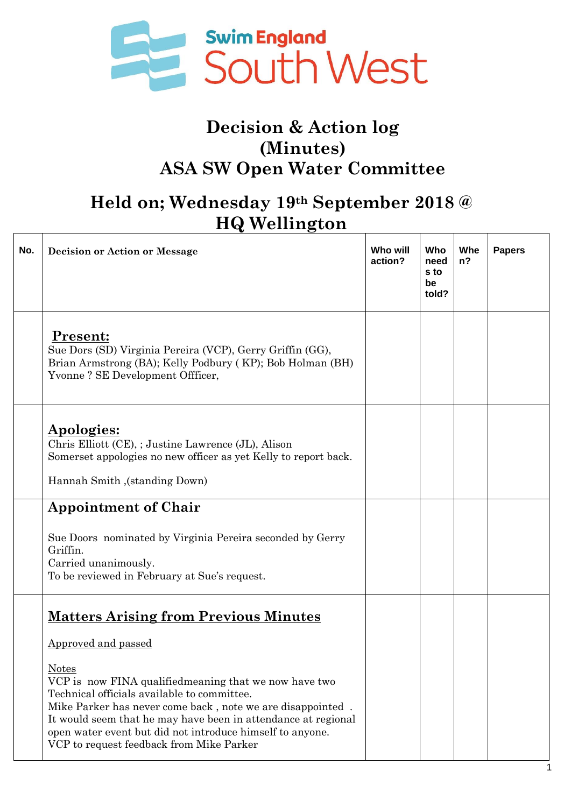

## **Decision & Action log (Minutes) ASA SW Open Water Committee**

## **Held on; Wednesday 19th September 2018 @ HQ Wellington**

| No. | <b>Decision or Action or Message</b>                                                                                                                                                                                                                                                                                                                                                                                                | Who will<br>action? | Who<br>need<br>s to<br>be<br>told? | Whe<br>$n$ ? | <b>Papers</b> |
|-----|-------------------------------------------------------------------------------------------------------------------------------------------------------------------------------------------------------------------------------------------------------------------------------------------------------------------------------------------------------------------------------------------------------------------------------------|---------------------|------------------------------------|--------------|---------------|
|     | Present:<br>Sue Dors (SD) Virginia Pereira (VCP), Gerry Griffin (GG),<br>Brian Armstrong (BA); Kelly Podbury (KP); Bob Holman (BH)<br>Yvonne? SE Development Offficer,                                                                                                                                                                                                                                                              |                     |                                    |              |               |
|     | <b>Apologies:</b><br>Chris Elliott (CE), ; Justine Lawrence (JL), Alison<br>Somerset appologies no new officer as yet Kelly to report back.<br>Hannah Smith , (standing Down)                                                                                                                                                                                                                                                       |                     |                                    |              |               |
|     | <b>Appointment of Chair</b><br>Sue Doors nominated by Virginia Pereira seconded by Gerry<br>Griffin.<br>Carried unanimously.<br>To be reviewed in February at Sue's request.                                                                                                                                                                                                                                                        |                     |                                    |              |               |
|     | <b>Matters Arising from Previous Minutes</b><br>Approved and passed<br><u>Notes</u><br>VCP is now FINA qualifiedmeaning that we now have two<br>Technical officials available to committee.<br>Mike Parker has never come back, note we are disappointed.<br>It would seem that he may have been in attendance at regional<br>open water event but did not introduce himself to anyone.<br>VCP to request feedback from Mike Parker |                     |                                    |              |               |

1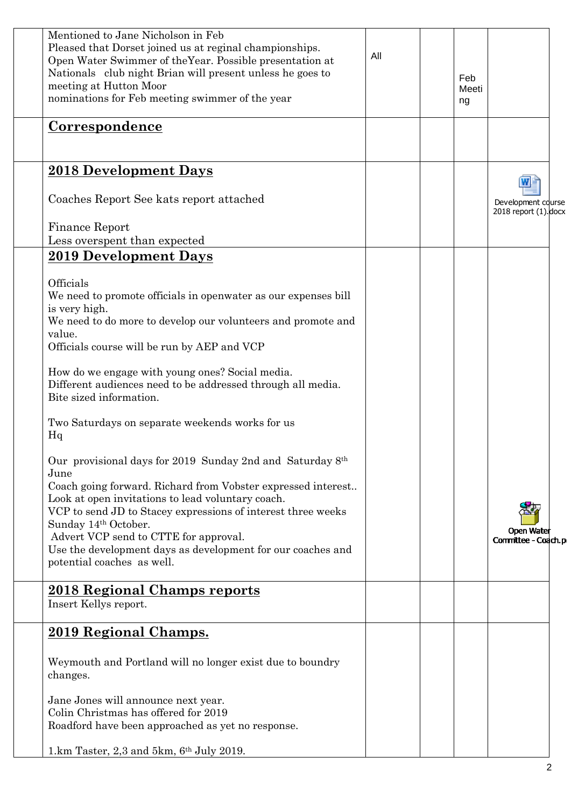| Mentioned to Jane Nicholson in Feb<br>Pleased that Dorset joined us at reginal championships.<br>Open Water Swimmer of the Year. Possible presentation at<br>Nationals club night Brian will present unless he goes to<br>meeting at Hutton Moor<br>nominations for Feb meeting swimmer of the year                                                                                                                                                                                                                                                                                                                                                                                                                                                                                                                   | All | Feb<br>Meeti<br>ng |                                             |  |
|-----------------------------------------------------------------------------------------------------------------------------------------------------------------------------------------------------------------------------------------------------------------------------------------------------------------------------------------------------------------------------------------------------------------------------------------------------------------------------------------------------------------------------------------------------------------------------------------------------------------------------------------------------------------------------------------------------------------------------------------------------------------------------------------------------------------------|-----|--------------------|---------------------------------------------|--|
| <b>Correspondence</b>                                                                                                                                                                                                                                                                                                                                                                                                                                                                                                                                                                                                                                                                                                                                                                                                 |     |                    |                                             |  |
| 2018 Development Days                                                                                                                                                                                                                                                                                                                                                                                                                                                                                                                                                                                                                                                                                                                                                                                                 |     |                    |                                             |  |
| Coaches Report See kats report attached                                                                                                                                                                                                                                                                                                                                                                                                                                                                                                                                                                                                                                                                                                                                                                               |     |                    | Development course<br>2018 report (1). docx |  |
| Finance Report<br>Less overspent than expected                                                                                                                                                                                                                                                                                                                                                                                                                                                                                                                                                                                                                                                                                                                                                                        |     |                    |                                             |  |
| 2019 Development Days                                                                                                                                                                                                                                                                                                                                                                                                                                                                                                                                                                                                                                                                                                                                                                                                 |     |                    |                                             |  |
| Officials<br>We need to promote officials in openwater as our expenses bill<br>is very high.<br>We need to do more to develop our volunteers and promote and<br>value.<br>Officials course will be run by AEP and VCP<br>How do we engage with young ones? Social media.<br>Different audiences need to be addressed through all media.<br>Bite sized information.<br>Two Saturdays on separate weekends works for us<br>Hq<br>Our provisional days for 2019 Sunday 2nd and Saturday 8th<br>June<br>Coach going forward. Richard from Vobster expressed interest<br>Look at open invitations to lead voluntary coach.<br>VCP to send JD to Stacey expressions of interest three weeks<br>Sunday 14th October.<br>Advert VCP send to CTTE for approval.<br>Use the development days as development for our coaches and |     |                    | Open Water<br>Committee - Coach.p           |  |
| potential coaches as well.                                                                                                                                                                                                                                                                                                                                                                                                                                                                                                                                                                                                                                                                                                                                                                                            |     |                    |                                             |  |
| <b>2018 Regional Champs reports</b><br>Insert Kellys report.                                                                                                                                                                                                                                                                                                                                                                                                                                                                                                                                                                                                                                                                                                                                                          |     |                    |                                             |  |
| 2019 Regional Champs.                                                                                                                                                                                                                                                                                                                                                                                                                                                                                                                                                                                                                                                                                                                                                                                                 |     |                    |                                             |  |
| Weymouth and Portland will no longer exist due to boundry<br>changes.                                                                                                                                                                                                                                                                                                                                                                                                                                                                                                                                                                                                                                                                                                                                                 |     |                    |                                             |  |
| Jane Jones will announce next year.<br>Colin Christmas has offered for 2019<br>Roadford have been approached as yet no response.                                                                                                                                                                                                                                                                                                                                                                                                                                                                                                                                                                                                                                                                                      |     |                    |                                             |  |
| 1.km Taster, 2,3 and 5km, 6th July 2019.                                                                                                                                                                                                                                                                                                                                                                                                                                                                                                                                                                                                                                                                                                                                                                              |     |                    |                                             |  |
|                                                                                                                                                                                                                                                                                                                                                                                                                                                                                                                                                                                                                                                                                                                                                                                                                       |     |                    |                                             |  |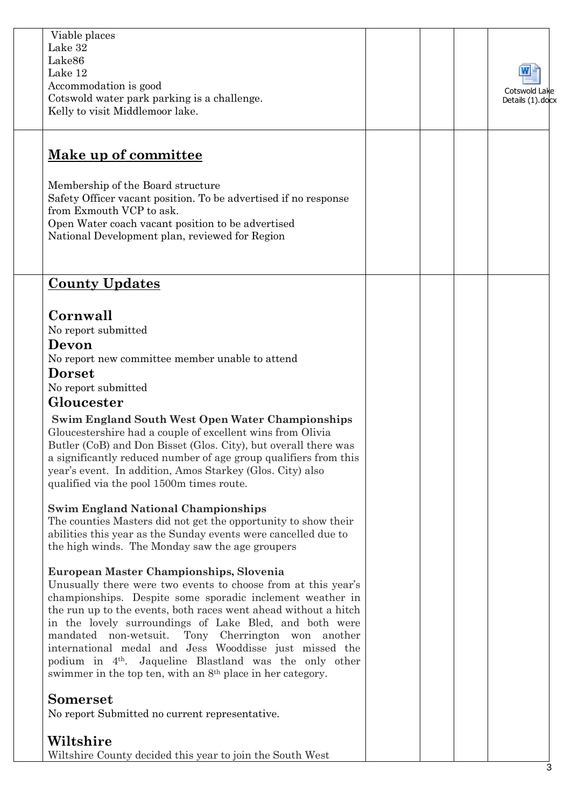| Viable places<br>Lake 32<br>Lake86<br>Lake 12<br>Accommodation is good<br>Cotswold water park parking is a challenge.<br>Kelly to visit Middlemoor lake.                                                                                                                                                                                                                                                                                                                                                                                                                                                                                                                                                                                                                                                                                                                                                                                                                                                                                                                                                                                                                                                                                                                                                                                                                                                                                |  | Cotswold Lake<br>Details (1).docx |
|-----------------------------------------------------------------------------------------------------------------------------------------------------------------------------------------------------------------------------------------------------------------------------------------------------------------------------------------------------------------------------------------------------------------------------------------------------------------------------------------------------------------------------------------------------------------------------------------------------------------------------------------------------------------------------------------------------------------------------------------------------------------------------------------------------------------------------------------------------------------------------------------------------------------------------------------------------------------------------------------------------------------------------------------------------------------------------------------------------------------------------------------------------------------------------------------------------------------------------------------------------------------------------------------------------------------------------------------------------------------------------------------------------------------------------------------|--|-----------------------------------|
| <u>Make up of committee</u><br>Membership of the Board structure<br>Safety Officer vacant position. To be advertised if no response<br>from Exmouth VCP to ask.<br>Open Water coach vacant position to be advertised<br>National Development plan, reviewed for Region                                                                                                                                                                                                                                                                                                                                                                                                                                                                                                                                                                                                                                                                                                                                                                                                                                                                                                                                                                                                                                                                                                                                                                  |  |                                   |
| <b>County Updates</b><br>Cornwall<br>No report submitted<br>Devon<br>No report new committee member unable to attend<br><b>Dorset</b><br>No report submitted<br>Gloucester<br><b>Swim England South West Open Water Championships</b><br>Gloucestershire had a couple of excellent wins from Olivia<br>Butler (CoB) and Don Bisset (Glos. City), but overall there was<br>a significantly reduced number of age group qualifiers from this<br>year's event. In addition, Amos Starkey (Glos. City) also<br>qualified via the pool 1500m times route.<br><b>Swim England National Championships</b><br>The counties Masters did not get the opportunity to show their<br>abilities this year as the Sunday events were cancelled due to<br>the high winds. The Monday saw the age groupers<br>European Master Championships, Slovenia<br>Unusually there were two events to choose from at this year's<br>championships. Despite some sporadic inclement weather in<br>the run up to the events, both races went ahead without a hitch<br>in the lovely surroundings of Lake Bled, and both were<br>Tony Cherrington won another<br>mandated non-wetsuit.<br>international medal and Jess Wooddisse just missed the<br>podium in 4 <sup>th</sup> . Jaqueline Blastland was the only other<br>swimmer in the top ten, with an 8 <sup>th</sup> place in her category.<br><b>Somerset</b><br>No report Submitted no current representative. |  |                                   |
| Wiltshire<br>Wiltshire County decided this year to join the South West                                                                                                                                                                                                                                                                                                                                                                                                                                                                                                                                                                                                                                                                                                                                                                                                                                                                                                                                                                                                                                                                                                                                                                                                                                                                                                                                                                  |  |                                   |